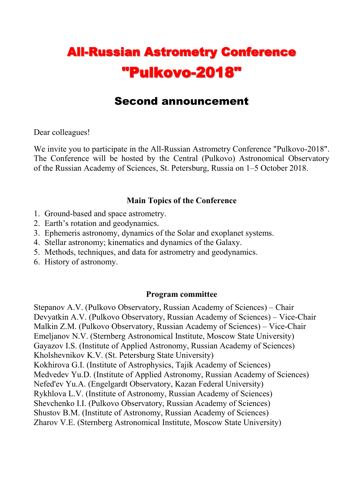# All-Russian Astrometry Conference "Pulkovo-2018"

# Second announcement

#### Dear colleagues!

We invite you to participate in the All-Russian Astrometry Conference "Pulkovo-2018". The Conference will be hosted by the Central (Pulkovo) Astronomical Observatory of the Russian Academy of Sciences, St. Petersburg, Russia on 1–5 October 2018.

#### **Main Topics of the Conference**

- 1. Ground-based and space astrometry.
- 2. Earth's rotation and geodynamics.
- 3. Ephemeris astronomy, dynamics of the Solar and exoplanet systems.
- 4. Stellar astronomy; kinematics and dynamics of the Galaxy.
- 5. Methods, techniques, and data for astrometry and geodynamics.
- 6. History of astronomy.

#### **Program committee**

Stepanov A.V. (Pulkovo Observatory, Russian Academy of Sciences) – Chair Devyatkin A.V. (Pulkovo Observatory, Russian Academy of Sciences) – Vice-Chair Malkin Z.M. (Pulkovo Observatory, Russian Academy of Sciences) – Vice-Chair Emeljanov N.V. (Sternberg Astronomical Institute, Moscow State University) Gayazov I.S. (Institute of Applied Astronomy, Russian Academy of Sciences) Kholshevnikov K.V. (St. Petersburg State University) Kokhirova G.I. (Institute of Astrophysics, Tajik Academy of Sciences) Medvedev Yu.D. (Institute of Applied Astronomy, Russian Academy of Sciences) Nefed'ev Yu.A. (Engelgardt Observatory, Kazan Federal University) Rykhlova L.V. (Institute of Astronomy, Russian Academy of Sciences) Shevchenko I.I. (Pulkovo Observatory, Russian Academy of Sciences) Shustov B.M. (Institute of Astronomy, Russian Academy of Sciences) Zharov V.E. (Sternberg Astronomical Institute, Moscow State University)